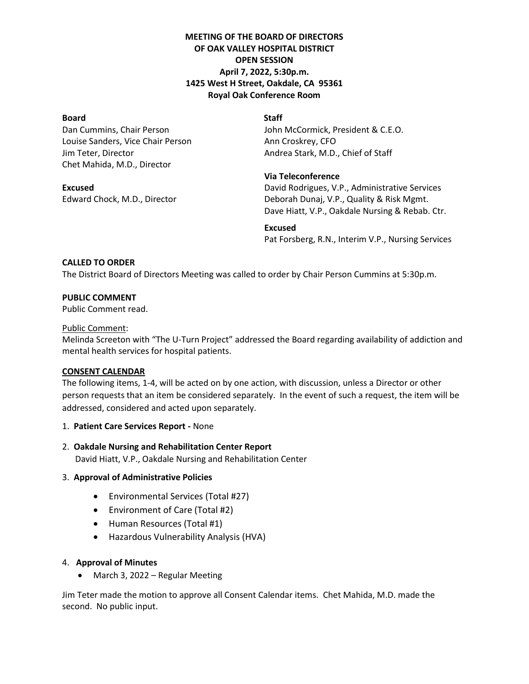# **MEETING OF THE BOARD OF DIRECTORS OF OAK VALLEY HOSPITAL DISTRICT OPEN SESSION April 7, 2022, 5:30p.m. 1425 West H Street, Oakdale, CA 95361 Royal Oak Conference Room**

# **Board** Staff

Louise Sanders, Vice Chair Person Ann Croskrey, CFO Jim Teter, Director Andrea Stark, M.D., Chief of Staff Chet Mahida, M.D., Director

Dan Cummins, Chair Person **John McCormick, President & C.E.O.** 

# **Via Teleconference**

**Excused Excused Excused David Rodrigues, V.P., Administrative Services** Edward Chock, M.D., Director **Deborah Dunaj, V.P., Quality & Risk Mgmt.** Dave Hiatt, V.P., Oakdale Nursing & Rebab. Ctr.

## **Excused**

Pat Forsberg, R.N., Interim V.P., Nursing Services

# **CALLED TO ORDER**

The District Board of Directors Meeting was called to order by Chair Person Cummins at 5:30p.m.

## **PUBLIC COMMENT**

Public Comment read.

## Public Comment:

Melinda Screeton with "The U-Turn Project" addressed the Board regarding availability of addiction and mental health services for hospital patients.

## **CONSENT CALENDAR**

The following items, 1-4, will be acted on by one action, with discussion, unless a Director or other person requests that an item be considered separately. In the event of such a request, the item will be addressed, considered and acted upon separately.

## 1. **Patient Care Services Report -** None

## 2. **Oakdale Nursing and Rehabilitation Center Report**

David Hiatt, V.P., Oakdale Nursing and Rehabilitation Center

## 3. **Approval of Administrative Policies**

- Environmental Services (Total #27)
- Environment of Care (Total #2)
- Human Resources (Total #1)
- Hazardous Vulnerability Analysis (HVA)

## 4. **Approval of Minutes**

• March 3, 2022 – Regular Meeting

Jim Teter made the motion to approve all Consent Calendar items. Chet Mahida, M.D. made the second. No public input.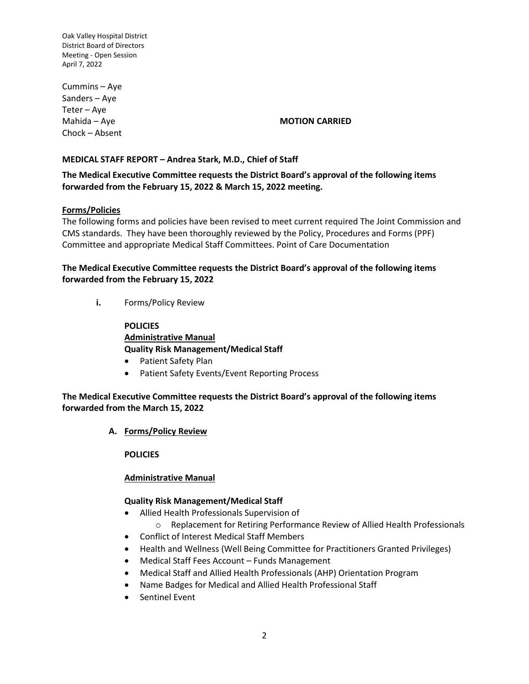Cummins – Aye Sanders – Aye Teter – Aye Chock – Absent

## Mahida – Aye **MOTION CARRIED**

# **MEDICAL STAFF REPORT – Andrea Stark, M.D., Chief of Staff**

# **The Medical Executive Committee requests the District Board's approval of the following items forwarded from the February 15, 2022 & March 15, 2022 meeting.**

# **Forms/Policies**

The following forms and policies have been revised to meet current required The Joint Commission and CMS standards. They have been thoroughly reviewed by the Policy, Procedures and Forms (PPF) Committee and appropriate Medical Staff Committees. Point of Care Documentation

# **The Medical Executive Committee requests the District Board's approval of the following items forwarded from the February 15, 2022**

**i.** Forms/Policy Review

**POLICIES Administrative Manual Quality Risk Management/Medical Staff**

- Patient Safety Plan
- Patient Safety Events/Event Reporting Process

**The Medical Executive Committee requests the District Board's approval of the following items forwarded from the March 15, 2022**

**A. Forms/Policy Review**

**POLICIES**

## **Administrative Manual**

## **Quality Risk Management/Medical Staff**

- Allied Health Professionals Supervision of
	- o Replacement for Retiring Performance Review of Allied Health Professionals
- Conflict of Interest Medical Staff Members
- Health and Wellness (Well Being Committee for Practitioners Granted Privileges)
- Medical Staff Fees Account Funds Management
- Medical Staff and Allied Health Professionals (AHP) Orientation Program
- Name Badges for Medical and Allied Health Professional Staff
- Sentinel Event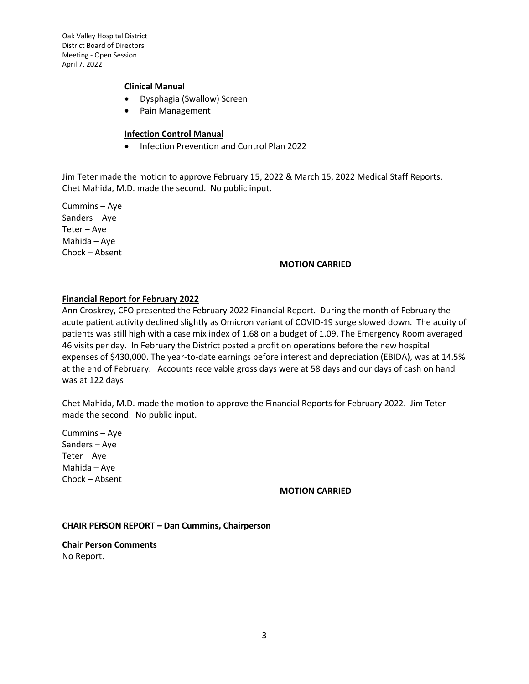#### **Clinical Manual**

- Dysphagia (Swallow) Screen
- Pain Management

## **Infection Control Manual**

• Infection Prevention and Control Plan 2022

Jim Teter made the motion to approve February 15, 2022 & March 15, 2022 Medical Staff Reports. Chet Mahida, M.D. made the second. No public input.

Cummins – Aye Sanders – Aye Teter – Aye Mahida – Aye Chock – Absent

#### **MOTION CARRIED**

#### **Financial Report for February 2022**

Ann Croskrey, CFO presented the February 2022 Financial Report. During the month of February the acute patient activity declined slightly as Omicron variant of COVID-19 surge slowed down. The acuity of patients was still high with a case mix index of 1.68 on a budget of 1.09. The Emergency Room averaged 46 visits per day. In February the District posted a profit on operations before the new hospital expenses of \$430,000. The year-to-date earnings before interest and depreciation (EBIDA), was at 14.5% at the end of February. Accounts receivable gross days were at 58 days and our days of cash on hand was at 122 days

Chet Mahida, M.D. made the motion to approve the Financial Reports for February 2022. Jim Teter made the second. No public input.

Cummins – Aye Sanders – Aye Teter – Aye Mahida – Aye Chock – Absent

## **MOTION CARRIED**

#### **CHAIR PERSON REPORT – Dan Cummins, Chairperson**

**Chair Person Comments** No Report.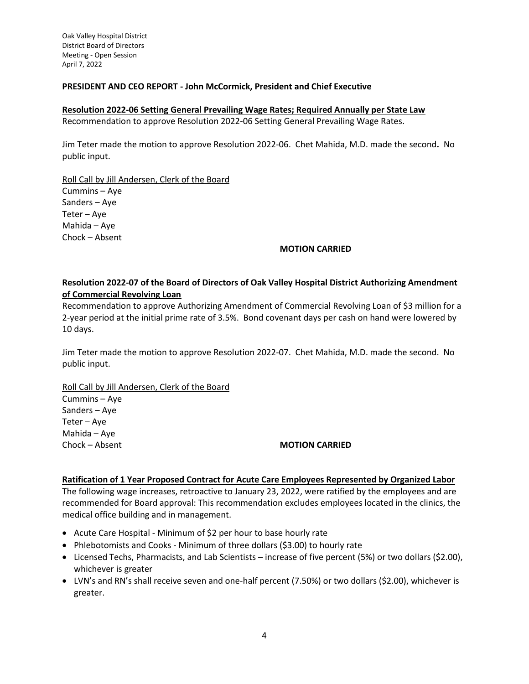## **PRESIDENT AND CEO REPORT - John McCormick, President and Chief Executive**

#### **Resolution 2022-06 Setting General Prevailing Wage Rates; Required Annually per State Law**

Recommendation to approve Resolution 2022-06 Setting General Prevailing Wage Rates.

Jim Teter made the motion to approve Resolution 2022-06. Chet Mahida, M.D. made the second**.** No public input.

Roll Call by Jill Andersen, Clerk of the Board Cummins – Aye Sanders – Aye Teter – Aye Mahida – Aye Chock – Absent

#### **MOTION CARRIED**

# **Resolution 2022-07 of the Board of Directors of Oak Valley Hospital District Authorizing Amendment of Commercial Revolving Loan**

Recommendation to approve Authorizing Amendment of Commercial Revolving Loan of \$3 million for a 2-year period at the initial prime rate of 3.5%. Bond covenant days per cash on hand were lowered by 10 days.

Jim Teter made the motion to approve Resolution 2022-07. Chet Mahida, M.D. made the second. No public input.

Roll Call by Jill Andersen, Clerk of the Board

Cummins – Aye Sanders – Aye Teter – Aye Mahida – Aye

#### Chock – Absent **MOTION CARRIED**

#### **Ratification of 1 Year Proposed Contract for Acute Care Employees Represented by Organized Labor**

The following wage increases, retroactive to January 23, 2022, were ratified by the employees and are recommended for Board approval: This recommendation excludes employees located in the clinics, the medical office building and in management.

- Acute Care Hospital Minimum of \$2 per hour to base hourly rate
- Phlebotomists and Cooks Minimum of three dollars (\$3.00) to hourly rate
- Licensed Techs, Pharmacists, and Lab Scientists increase of five percent (5%) or two dollars (\$2.00), whichever is greater
- LVN's and RN's shall receive seven and one-half percent (7.50%) or two dollars (\$2.00), whichever is greater.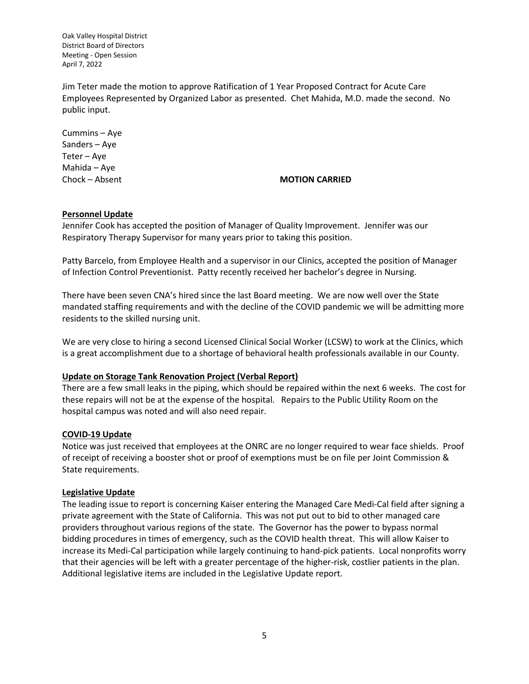Jim Teter made the motion to approve Ratification of 1 Year Proposed Contract for Acute Care Employees Represented by Organized Labor as presented. Chet Mahida, M.D. made the second. No public input.

Cummins – Aye Sanders – Aye Teter – Aye Mahida – Aye

## Chock – Absent **MOTION CARRIED**

#### **Personnel Update**

Jennifer Cook has accepted the position of Manager of Quality Improvement. Jennifer was our Respiratory Therapy Supervisor for many years prior to taking this position.

Patty Barcelo, from Employee Health and a supervisor in our Clinics, accepted the position of Manager of Infection Control Preventionist. Patty recently received her bachelor's degree in Nursing.

There have been seven CNA's hired since the last Board meeting. We are now well over the State mandated staffing requirements and with the decline of the COVID pandemic we will be admitting more residents to the skilled nursing unit.

We are very close to hiring a second Licensed Clinical Social Worker (LCSW) to work at the Clinics, which is a great accomplishment due to a shortage of behavioral health professionals available in our County.

#### **Update on Storage Tank Renovation Project (Verbal Report)**

There are a few small leaks in the piping, which should be repaired within the next 6 weeks. The cost for these repairs will not be at the expense of the hospital. Repairs to the Public Utility Room on the hospital campus was noted and will also need repair.

#### **COVID-19 Update**

Notice was just received that employees at the ONRC are no longer required to wear face shields. Proof of receipt of receiving a booster shot or proof of exemptions must be on file per Joint Commission & State requirements.

#### **Legislative Update**

The leading issue to report is concerning Kaiser entering the Managed Care Medi-Cal field after signing a private agreement with the State of California. This was not put out to bid to other managed care providers throughout various regions of the state. The Governor has the power to bypass normal bidding procedures in times of emergency, such as the COVID health threat. This will allow Kaiser to increase its Medi-Cal participation while largely continuing to hand-pick patients. Local nonprofits worry that their agencies will be left with a greater percentage of the higher-risk, costlier patients in the plan. Additional legislative items are included in the Legislative Update report.